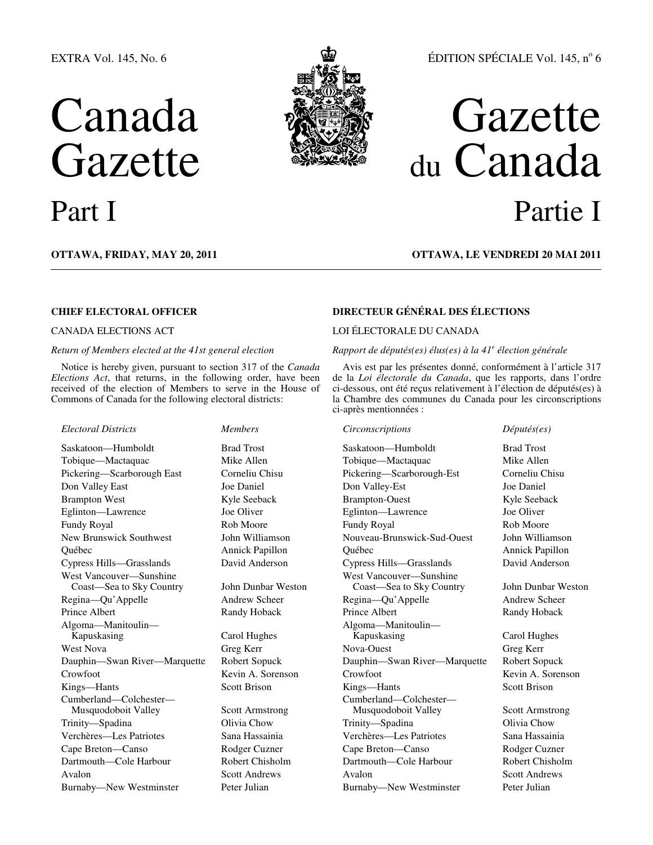## EXTRA Vol. 145, No. 6

# Canada Gazette



## ÉDITION SPÉCIALE Vol. 145, nº 6

## Gazette du Canada Part I Partie I

## **OTTAWA, FRIDAY, MAY 20, 2011 OTTAWA, LE VENDREDI 20 MAI 2011**

## *Return of Members elected at the 41st general election*

Notice is hereby given, pursuant to section 317 of the *Canada Elections Act*, that returns, in the following order, have been received of the election of Members to serve in the House of Commons of Canada for the following electoral districts:

West Vancouver—Sunshine Coast—Sea to Sky Country John Dunbar Weston Algoma—Manitoulin— Kapuskasing Carol Hughes Cumberland—Colchester— Musquodoboit Valley Scott Armstrong

## **CHIEF ELECTORAL OFFICER DIRECTEUR GÉNÉRAL DES ÉLECTIONS**

## CANADA ELECTIONS ACT LOI ÉLECTORALE DU CANADA

### *Rapport de députés(es) élus(es) à la 41<sup>e</sup> élection générale*

Avis est par les présentes donné, conformément à l'article 317 de la *Loi électorale du Canada*, que les rapports, dans l'ordre ci-dessous, ont été reçus relativement à l'élection de députés(es) à la Chambre des communes du Canada pour les circonscriptions ci-après mentionnées :

*Electoral Districts Members Circonscriptions Députés(es)*  Saskatoon—Humboldt Brad Trost Saskatoon—Humboldt Brad Trost Tobique—Mactaquac Mike Allen Tobique—Mactaquac Mike Allen Pickering—Scarborough East Corneliu Chisu Pickering—Scarborough-Est Corneliu Chisu Don Valley East Joe Daniel Don Valley-Est Joe Daniel Brampton West **Kyle Seeback** Brampton-Ouest Kyle Seeback Brampton-Ouest Kyle Seeback Eglinton—Lawrence Joe Oliver Eglinton—Lawrence Joe Oliver Fundy Royal Rob Moore Fundy Royal Rob Moore New Brunswick Southwest John Williamson Nouveau-Brunswick-Sud-Ouest John Williamson Québec Annick Papillon Québec Annick Papillon Cypress Hills—Grasslands David Anderson Cypress Hills—Grasslands David Anderson West Vancouver—Sunshine Coast—Sea to Sky Country John Dunbar Weston Regina—Qu'Appelle Andrew Scheer Regina—Qu'Appelle Andrew Scheer Prince Albert **Randy Hoback** Prince Albert **Randy Hoback** Prince Albert **Randy Hoback** Algoma—Manitoulin— Kapuskasing Carol Hughes West Nova Greg Kerr Nova-Ouest Greg Kerr Dauphin—Swan River—Marquette Robert Sopuck Dauphin—Swan River—Marquette Robert Sopuck Crowfoot Kevin A. Sorenson Crowfoot Kevin A. Sorenson Kings—Hants Scott Brison Kings—Hants Scott Brison Cumberland—Colchester— Musquodoboit Valley Scott Armstrong Trinity—Spadina Olivia Chow Trinity—Spadina Olivia Chow Verchères—Les Patriotes Sana Hassainia Verchères—Les Patriotes Sana Hassainia Cape Breton—Canso Rodger Cuzner Cape Breton—Canso Rodger Cuzner Dartmouth—Cole Harbour Robert Chisholm Dartmouth—Cole Harbour Robert Chisholm Avalon Scott Andrews Avalon Scott Andrews Avalon Scott Andrews Burnaby—New Westminster Peter Julian Burnaby—New Westminster Peter Julian